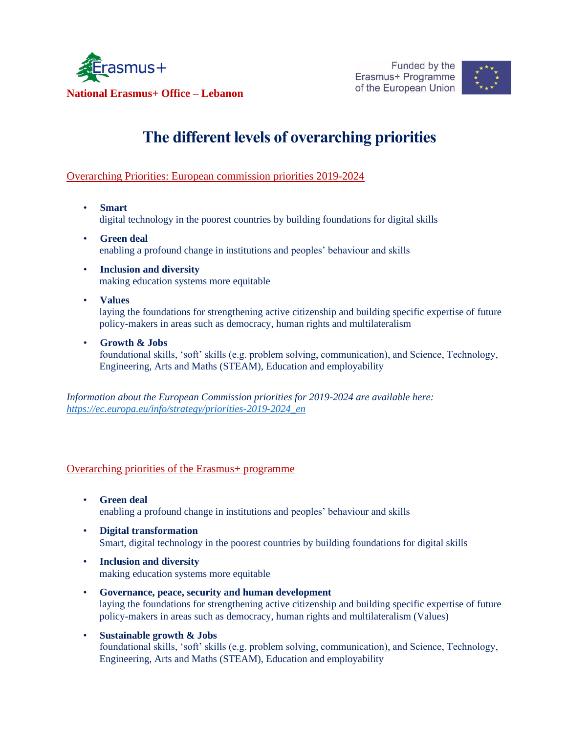



# **The different levels of overarching priorities**

## Overarching Priorities: European commission priorities 2019-2024

- **Smart** digital technology in the poorest countries by building foundations for digital skills
- **Green deal** enabling a profound change in institutions and peoples' behaviour and skills
- **Inclusion and diversity** making education systems more equitable
- **Values** laying the foundations for strengthening active citizenship and building specific expertise of future policy-makers in areas such as democracy, human rights and multilateralism
- **Growth & Jobs** foundational skills, 'soft' skills (e.g. problem solving, communication), and Science, Technology, Engineering, Arts and Maths (STEAM), Education and employability

*Information about the European Commission priorities for 2019-2024 are available here: [https://ec.europa.eu/info/strategy/priorities-2019-2024\\_en](https://ec.europa.eu/info/strategy/priorities-2019-2024_en)*

## Overarching priorities of the Erasmus+ programme

- **Green deal** enabling a profound change in institutions and peoples' behaviour and skills
- **Digital transformation** Smart, digital technology in the poorest countries by building foundations for digital skills
- **Inclusion and diversity** making education systems more equitable
- **Governance, peace, security and human development** laying the foundations for strengthening active citizenship and building specific expertise of future policy-makers in areas such as democracy, human rights and multilateralism (Values)
- **Sustainable growth & Jobs** foundational skills, 'soft' skills (e.g. problem solving, communication), and Science, Technology, Engineering, Arts and Maths (STEAM), Education and employability